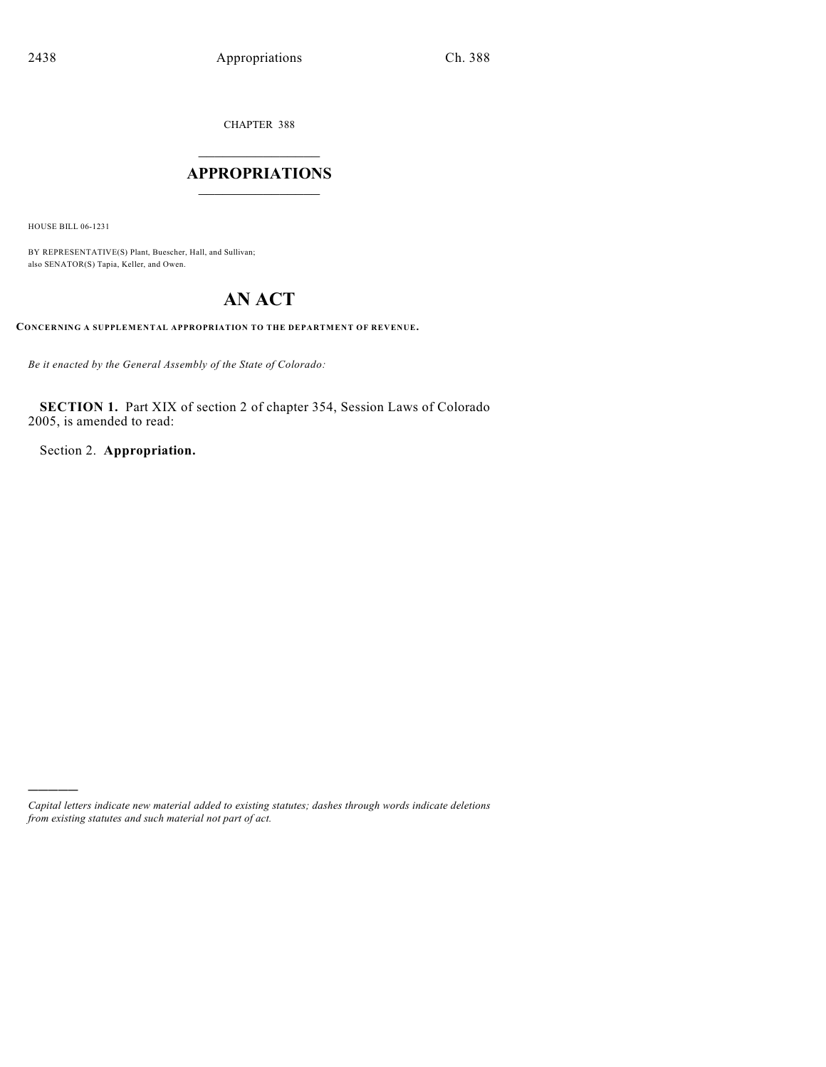CHAPTER 388

# $\overline{\phantom{a}}$  . The set of the set of the set of the set of the set of the set of the set of the set of the set of the set of the set of the set of the set of the set of the set of the set of the set of the set of the set o **APPROPRIATIONS**  $\_$   $\_$   $\_$   $\_$   $\_$   $\_$   $\_$   $\_$

HOUSE BILL 06-1231

)))))

BY REPRESENTATIVE(S) Plant, Buescher, Hall, and Sullivan; also SENATOR(S) Tapia, Keller, and Owen.

# **AN ACT**

**CONCERNING A SUPPLEMENTAL APPROPRIATION TO THE DEPARTMENT OF REVENUE.**

*Be it enacted by the General Assembly of the State of Colorado:*

**SECTION 1.** Part XIX of section 2 of chapter 354, Session Laws of Colorado 2005, is amended to read:

Section 2. **Appropriation.**

*Capital letters indicate new material added to existing statutes; dashes through words indicate deletions from existing statutes and such material not part of act.*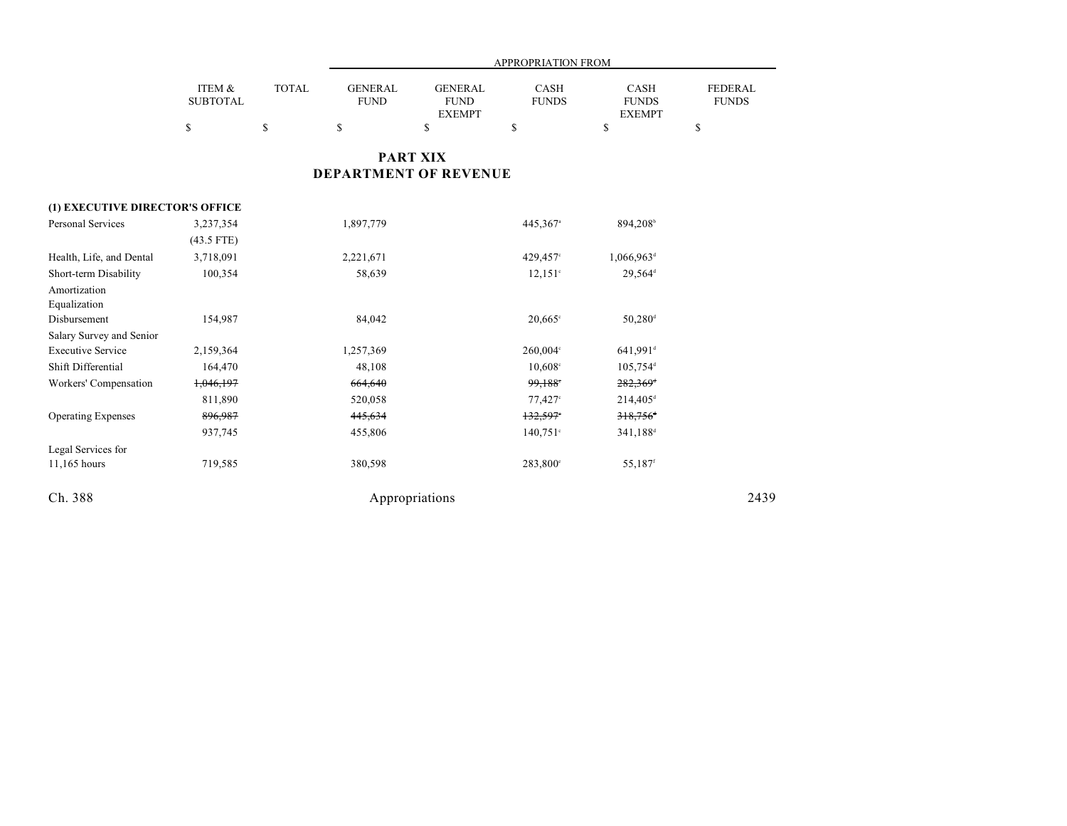|                                 |                           |              |                               |                                                | APPROPRIATION FROM          |                                       |                                |
|---------------------------------|---------------------------|--------------|-------------------------------|------------------------------------------------|-----------------------------|---------------------------------------|--------------------------------|
|                                 | ITEM &<br><b>SUBTOTAL</b> | <b>TOTAL</b> | <b>GENERAL</b><br><b>FUND</b> | <b>GENERAL</b><br><b>FUND</b><br><b>EXEMPT</b> | <b>CASH</b><br><b>FUNDS</b> | CASH<br><b>FUNDS</b><br><b>EXEMPT</b> | <b>FEDERAL</b><br><b>FUNDS</b> |
|                                 | \$                        | \$           | \$                            | \$                                             | \$                          | \$                                    | \$                             |
|                                 |                           |              |                               | <b>PART XIX</b>                                |                             |                                       |                                |
|                                 |                           |              |                               | <b>DEPARTMENT OF REVENUE</b>                   |                             |                                       |                                |
| (1) EXECUTIVE DIRECTOR'S OFFICE |                           |              |                               |                                                |                             |                                       |                                |
| <b>Personal Services</b>        | 3,237,354                 |              | 1,897,779                     |                                                | 445,367 <sup>a</sup>        | 894,208 <sup>b</sup>                  |                                |
|                                 | $(43.5$ FTE)              |              |                               |                                                |                             |                                       |                                |
| Health, Life, and Dental        | 3,718,091                 |              | 2,221,671                     |                                                | 429,457°                    | $1,066,963$ <sup>d</sup>              |                                |
| Short-term Disability           | 100,354                   |              | 58,639                        |                                                | $12,151$ °                  | 29,564 <sup>d</sup>                   |                                |
| Amortization                    |                           |              |                               |                                                |                             |                                       |                                |
| Equalization                    |                           |              |                               |                                                |                             |                                       |                                |
| Disbursement                    | 154,987                   |              | 84,042                        |                                                | $20.665$ °                  | $50,280$ <sup>d</sup>                 |                                |
| Salary Survey and Senior        |                           |              |                               |                                                |                             |                                       |                                |
| <b>Executive Service</b>        | 2,159,364                 |              | 1,257,369                     |                                                | $260,004$ °                 | $641,991$ <sup>d</sup>                |                                |
| Shift Differential              | 164,470                   |              | 48,108                        |                                                | $10,608$ °                  | $105,754$ <sup>d</sup>                |                                |
| Workers' Compensation           | 1,046,197                 |              | 664,640                       |                                                | 99,188                      | 282,369 <sup>d</sup>                  |                                |
|                                 | 811,890                   |              | 520,058                       |                                                | $77,427$ °                  | $214,405^{\circ}$                     |                                |
| <b>Operating Expenses</b>       | 896,987                   |              | 445,634                       |                                                | 132,597                     | $318,756$ <sup>+</sup>                |                                |
|                                 | 937,745                   |              | 455,806                       |                                                | $140,751$ °                 | 341,188 <sup>d</sup>                  |                                |
| Legal Services for              |                           |              |                               |                                                |                             |                                       |                                |
| 11,165 hours                    | 719,585                   |              | 380,598                       |                                                | 283,800°                    | 55,187 <sup>f</sup>                   |                                |
| Ch. 388                         |                           |              |                               | Appropriations                                 |                             |                                       | 2439                           |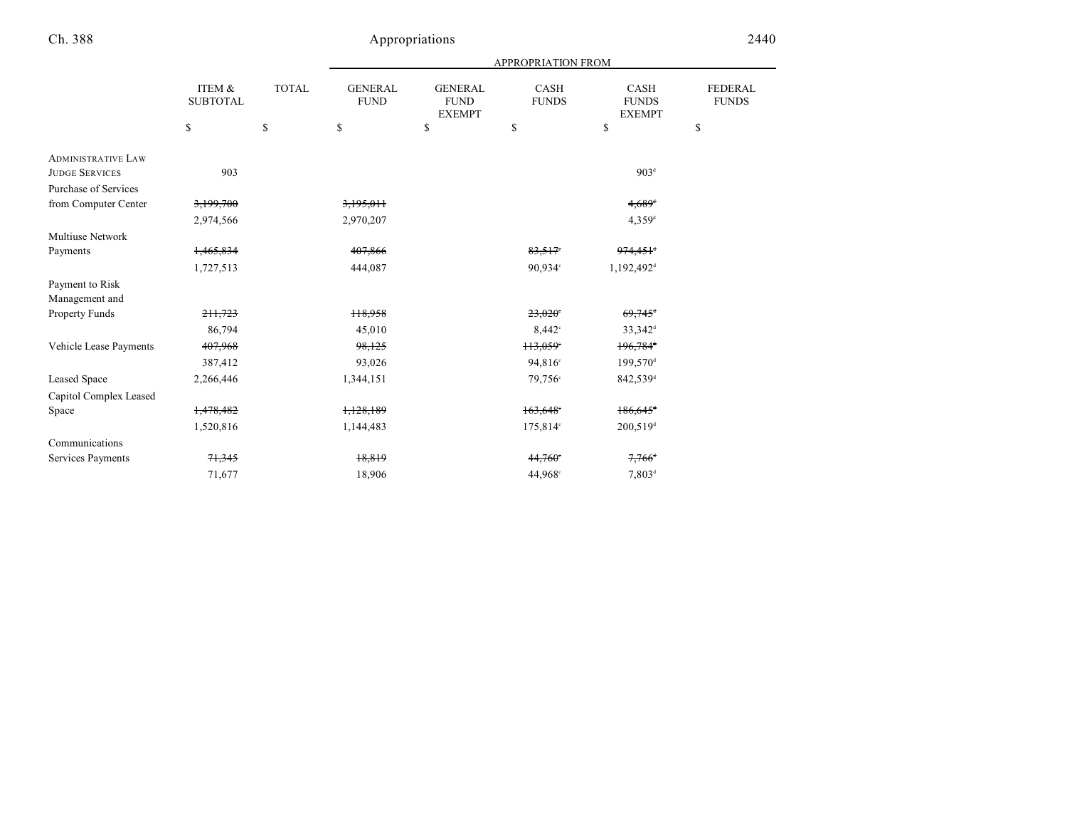|                           |                           |              |                               |                                                | <b>APPROPRIATION FROM</b> |                                       |                                |
|---------------------------|---------------------------|--------------|-------------------------------|------------------------------------------------|---------------------------|---------------------------------------|--------------------------------|
|                           | ITEM &<br><b>SUBTOTAL</b> | <b>TOTAL</b> | <b>GENERAL</b><br><b>FUND</b> | <b>GENERAL</b><br><b>FUND</b><br><b>EXEMPT</b> | CASH<br><b>FUNDS</b>      | CASH<br><b>FUNDS</b><br><b>EXEMPT</b> | <b>FEDERAL</b><br><b>FUNDS</b> |
|                           | \$                        | $\mathbf S$  | \$                            | \$                                             | \$                        | \$                                    | \$                             |
| <b>ADMINISTRATIVE LAW</b> |                           |              |                               |                                                |                           |                                       |                                |
| <b>JUDGE SERVICES</b>     | 903                       |              |                               |                                                |                           | 903 <sup>d</sup>                      |                                |
| Purchase of Services      |                           |              |                               |                                                |                           |                                       |                                |
| from Computer Center      | 3,199,700                 |              | 3,195,011                     |                                                |                           | $4,689$ <sup>d</sup>                  |                                |
|                           | 2,974,566                 |              | 2,970,207                     |                                                |                           | $4,359$ <sup>d</sup>                  |                                |
| <b>Multiuse Network</b>   |                           |              |                               |                                                |                           |                                       |                                |
| Payments                  | 1,465,834                 |              | 407,866                       |                                                | 83,517                    | $974,451$ <sup>+</sup>                |                                |
|                           | 1,727,513                 |              | 444,087                       |                                                | 90.934°                   | 1,192,492 <sup>d</sup>                |                                |
| Payment to Risk           |                           |              |                               |                                                |                           |                                       |                                |
| Management and            |                           |              |                               |                                                |                           |                                       |                                |
| Property Funds            | 211,723                   |              | 118,958                       |                                                | 23.020                    | $69,745$ <sup>d</sup>                 |                                |
|                           | 86,794                    |              | 45,010                        |                                                | 8.442°                    | $33,342^{\rm d}$                      |                                |
| Vehicle Lease Payments    | 407,968                   |              | 98,125                        |                                                | 113,059°                  | $196,784$ <sup>+</sup>                |                                |
|                           | 387,412                   |              | 93,026                        |                                                | 94,816°                   | 199,570 <sup>d</sup>                  |                                |
| Leased Space              | 2,266,446                 |              | 1,344,151                     |                                                | 79.756°                   | 842,539 <sup>d</sup>                  |                                |
| Capitol Complex Leased    |                           |              |                               |                                                |                           |                                       |                                |
| Space                     | 1,478,482                 |              | 1,128,189                     |                                                | 163,648                   | $186,645$ <sup>+</sup>                |                                |
|                           | 1,520,816                 |              | 1,144,483                     |                                                | 175,814°                  | $200,519$ <sup>d</sup>                |                                |
| Communications            |                           |              |                               |                                                |                           |                                       |                                |
| Services Payments         | 71,345                    |              | 18,819                        |                                                | 44,760                    | $7,766^{\circ}$                       |                                |
|                           | 71,677                    |              | 18,906                        |                                                | 44,968°                   | $7,803^{\rm d}$                       |                                |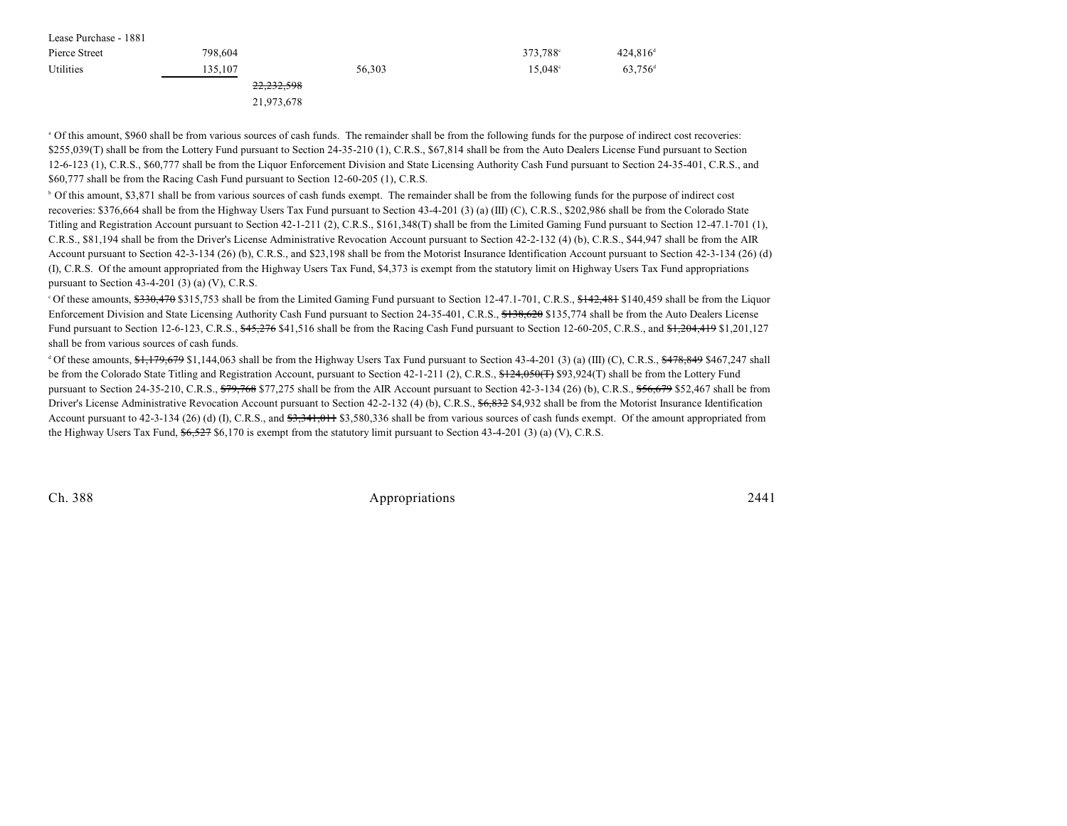| Lease Purchase - 1881 |                       |        |                  |                       |
|-----------------------|-----------------------|--------|------------------|-----------------------|
| Pierce Street         | 798,604               |        | 373,788°         | $424,816^{\circ}$     |
| Utilities             | 135,107               | 56,303 | $15.048^{\circ}$ | $63,756$ <sup>d</sup> |
|                       | <del>22,232,598</del> |        |                  |                       |
|                       | 21,973,678            |        |                  |                       |

 Of this amount, \$960 shall be from various sources of cash funds. The remainder shall be from the following funds for the purpose of indirect cost recoveries: <sup>a</sup> \$255,039(T) shall be from the Lottery Fund pursuant to Section 24-35-210 (1), C.R.S., \$67,814 shall be from the Auto Dealers License Fund pursuant to Section 12-6-123 (1), C.R.S., \$60,777 shall be from the Liquor Enforcement Division and State Licensing Authority Cash Fund pursuant to Section 24-35-401, C.R.S., and \$60,777 shall be from the Racing Cash Fund pursuant to Section 12-60-205 (1), C.R.S.

<sup>b</sup> Of this amount, \$3,871 shall be from various sources of cash funds exempt. The remainder shall be from the following funds for the purpose of indirect cost recoveries: \$376,664 shall be from the Highway Users Tax Fund pursuant to Section 43-4-201 (3) (a) (III) (C), C.R.S., \$202,986 shall be from the Colorado State Titling and Registration Account pursuant to Section 42-1-211 (2), C.R.S., \$161,348(T) shall be from the Limited Gaming Fund pursuant to Section 12-47.1-701 (1), C.R.S., \$81,194 shall be from the Driver's License Administrative Revocation Account pursuant to Section 42-2-132 (4) (b), C.R.S., \$44,947 shall be from the AIR Account pursuant to Section 42-3-134 (26) (b), C.R.S., and \$23,198 shall be from the Motorist Insurance Identification Account pursuant to Section 42-3-134 (26) (d) (I), C.R.S. Of the amount appropriated from the Highway Users Tax Fund, \$4,373 is exempt from the statutory limit on Highway Users Tax Fund appropriations pursuant to Section  $43-4-201$  (3) (a) (V), C.R.S.

<sup>o</sup> Of these amounts, \$330,470 \$315,753 shall be from the Limited Gaming Fund pursuant to Section 12-47.1-701, C.R.S., \$142,481 \$140,459 shall be from the Liquor Enforcement Division and State Licensing Authority Cash Fund pursuant to Section 24-35-401, C.R.S., \$138,620 \$135,774 shall be from the Auto Dealers License Fund pursuant to Section 12-6-123, C.R.S., \$45,276 \$41,516 shall be from the Racing Cash Fund pursuant to Section 12-60-205, C.R.S., and \$1,204,419 \$1,201,127 shall be from various sources of cash funds.

Of these amounts, \$1,179,679 \$1,144,063 shall be from the Highway Users Tax Fund pursuant to Section 43-4-201 (3) (a) (III) (C), C.R.S., \$478,849 \$467,247 shall <sup>d</sup> be from the Colorado State Titling and Registration Account, pursuant to Section 42-1-211 (2), C.R.S.,  $\frac{124,050(T)}{29,00(T)}$  \$93,924(T) shall be from the Lottery Fund pursuant to Section 24-35-210, C.R.S.,  $\frac{679,768}{100}$  \$77,275 shall be from the AIR Account pursuant to Section 42-3-134 (26) (b), C.R.S.,  $\frac{656,679}{100}$  \$52,467 shall be from Driver's License Administrative Revocation Account pursuant to Section 42-2-132 (4) (b), C.R.S., \$6,832 \$4,932 shall be from the Motorist Insurance Identification Account pursuant to 42-3-134 (26) (d) (I), C.R.S., and  $\frac{43,341,011}{33,580,336}$  shall be from various sources of cash funds exempt. Of the amount appropriated from the Highway Users Tax Fund,  $6,527$  \$6,170 is exempt from the statutory limit pursuant to Section 43-4-201 (3) (a) (V), C.R.S.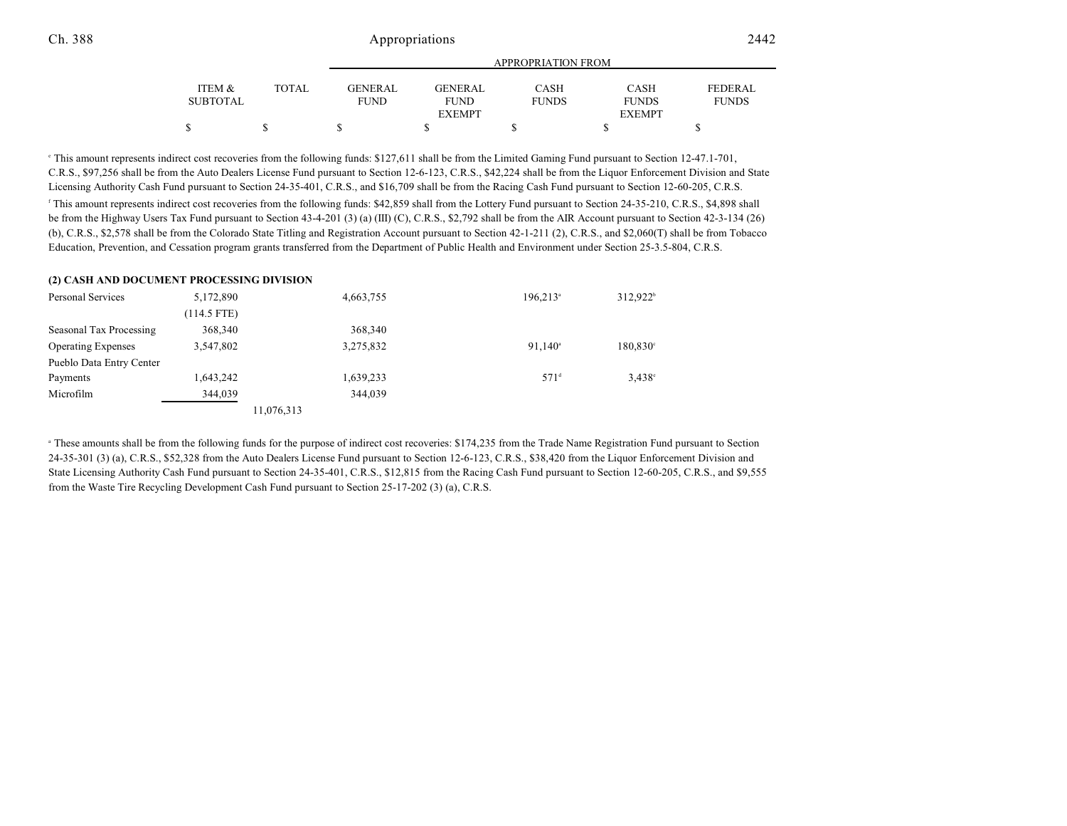|              | APPROPRIATION FROM |                |              |               |                |
|--------------|--------------------|----------------|--------------|---------------|----------------|
|              |                    |                |              |               |                |
| <b>TOTAL</b> | <b>GENERAL</b>     | <b>GENERAL</b> | <b>CASH</b>  | <b>CASH</b>   | <b>FEDERAL</b> |
|              | <b>FUND</b>        | <b>FUND</b>    | <b>FUNDS</b> | <b>FUNDS</b>  | <b>FUNDS</b>   |
|              |                    | <b>EXEMPT</b>  |              | <b>EXEMPT</b> |                |
|              |                    |                |              |               |                |
|              |                    |                |              |               |                |

 This amount represents indirect cost recoveries from the following funds: \$127,611 shall be from the Limited Gaming Fund pursuant to Section 12-47.1-701, <sup>e</sup> C.R.S., \$97,256 shall be from the Auto Dealers License Fund pursuant to Section 12-6-123, C.R.S., \$42,224 shall be from the Liquor Enforcement Division and State Licensing Authority Cash Fund pursuant to Section 24-35-401, C.R.S., and \$16,709 shall be from the Racing Cash Fund pursuant to Section 12-60-205, C.R.S. <sup>f</sup> This amount represents indirect cost recoveries from the following funds: \$42,859 shall from the Lottery Fund pursuant to Section 24-35-210, C.R.S., \$4,898 shall be from the Highway Users Tax Fund pursuant to Section 43-4-201 (3) (a) (III) (C), C.R.S., \$2,792 shall be from the AIR Account pursuant to Section 42-3-134 (26) (b), C.R.S., \$2,578 shall be from the Colorado State Titling and Registration Account pursuant to Section 42-1-211 (2), C.R.S., and \$2,060(T) shall be from Tobacco Education, Prevention, and Cessation program grants transferred from the Department of Public Health and Environment under Section 25-3.5-804, C.R.S.

#### **(2) CASH AND DOCUMENT PROCESSING DIVISION**

| Personal Services         | 5,172,890   | 4,663,755  | $196.213$ <sup>a</sup> | 312,922 <sup>b</sup> |
|---------------------------|-------------|------------|------------------------|----------------------|
|                           | (114.5 FTE) |            |                        |                      |
| Seasonal Tax Processing   | 368,340     | 368,340    |                        |                      |
| <b>Operating Expenses</b> | 3,547,802   | 3,275,832  | $91.140^{\circ}$       | $180,830^{\circ}$    |
| Pueblo Data Entry Center  |             |            |                        |                      |
| Payments                  | 1,643,242   | 1,639,233  | 571 <sup>d</sup>       | $3.438^{\circ}$      |
| Microfilm                 | 344,039     | 344,039    |                        |                      |
|                           |             | 11,076,313 |                        |                      |

<sup>a</sup> These amounts shall be from the following funds for the purpose of indirect cost recoveries: \$174,235 from the Trade Name Registration Fund pursuant to Section 24-35-301 (3) (a), C.R.S., \$52,328 from the Auto Dealers License Fund pursuant to Section 12-6-123, C.R.S., \$38,420 from the Liquor Enforcement Division and State Licensing Authority Cash Fund pursuant to Section 24-35-401, C.R.S., \$12,815 from the Racing Cash Fund pursuant to Section 12-60-205, C.R.S., and \$9,555 from the Waste Tire Recycling Development Cash Fund pursuant to Section 25-17-202 (3) (a), C.R.S.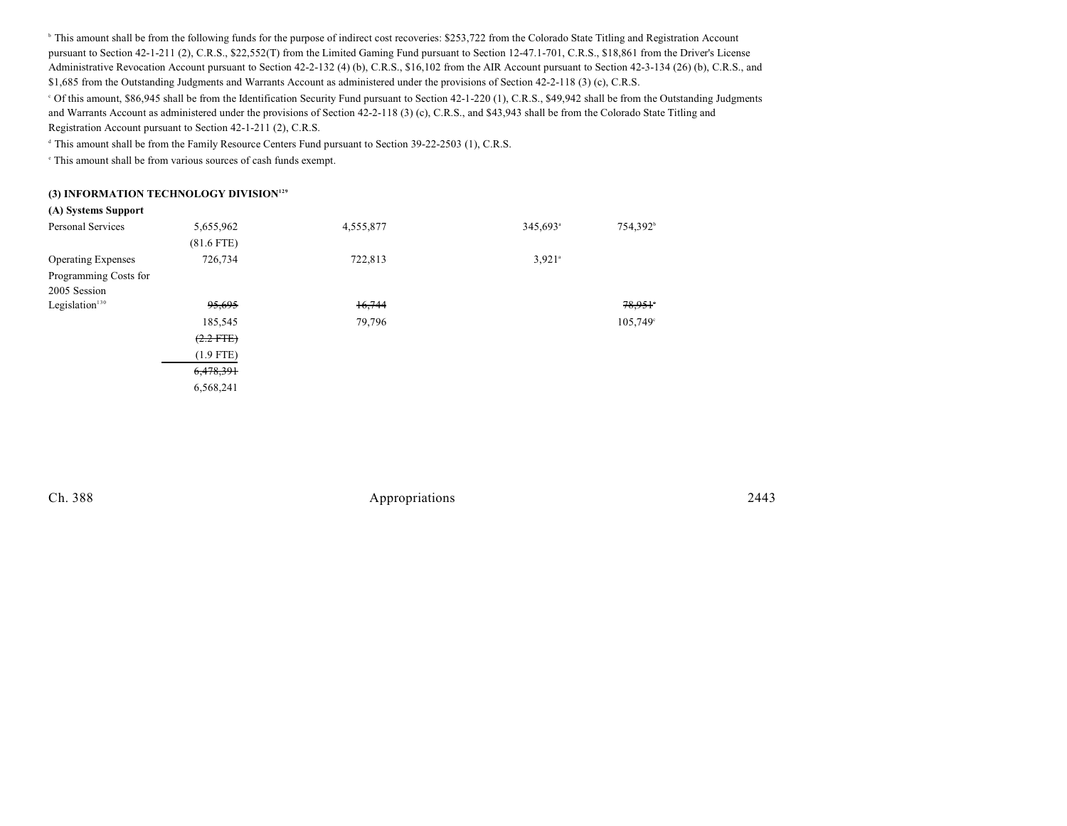<sup>b</sup> This amount shall be from the following funds for the purpose of indirect cost recoveries: \$253,722 from the Colorado State Titling and Registration Account pursuant to Section 42-1-211 (2), C.R.S., \$22,552(T) from the Limited Gaming Fund pursuant to Section 12-47.1-701, C.R.S., \$18,861 from the Driver's License Administrative Revocation Account pursuant to Section 42-2-132 (4) (b), C.R.S., \$16,102 from the AIR Account pursuant to Section 42-3-134 (26) (b), C.R.S., and \$1,685 from the Outstanding Judgments and Warrants Account as administered under the provisions of Section 42-2-118 (3) (c), C.R.S.

 Of this amount, \$86,945 shall be from the Identification Security Fund pursuant to Section 42-1-220 (1), C.R.S., \$49,942 shall be from the Outstanding Judgments <sup>c</sup> and Warrants Account as administered under the provisions of Section 42-2-118 (3) (c), C.R.S., and \$43,943 shall be from the Colorado State Titling and Registration Account pursuant to Section 42-1-211 (2), C.R.S.

<sup>d</sup> This amount shall be from the Family Resource Centers Fund pursuant to Section 39-22-2503 (1), C.R.S.

 $\degree$  This amount shall be from various sources of cash funds exempt.

#### **(3) INFORMATION TECHNOLOGY DIVISION<sup>129</sup>**

| (A) Systems Support       |              |           |                      |                      |
|---------------------------|--------------|-----------|----------------------|----------------------|
| <b>Personal Services</b>  | 5,655,962    | 4,555,877 | 345,693 <sup>a</sup> | 754,392 <sup>b</sup> |
|                           | $(81.6$ FTE) |           |                      |                      |
| <b>Operating Expenses</b> | 726,734      | 722,813   | $3,921$ <sup>a</sup> |                      |
| Programming Costs for     |              |           |                      |                      |
| 2005 Session              |              |           |                      |                      |
| Legislation $130$         | 95,695       | 16,744    |                      | 78,951               |
|                           | 185,545      | 79,796    |                      | 105,749°             |
|                           | $(2.2$ FTE)  |           |                      |                      |
|                           | $(1.9$ FTE)  |           |                      |                      |
|                           | 6,478,391    |           |                      |                      |
|                           | 6.568.241    |           |                      |                      |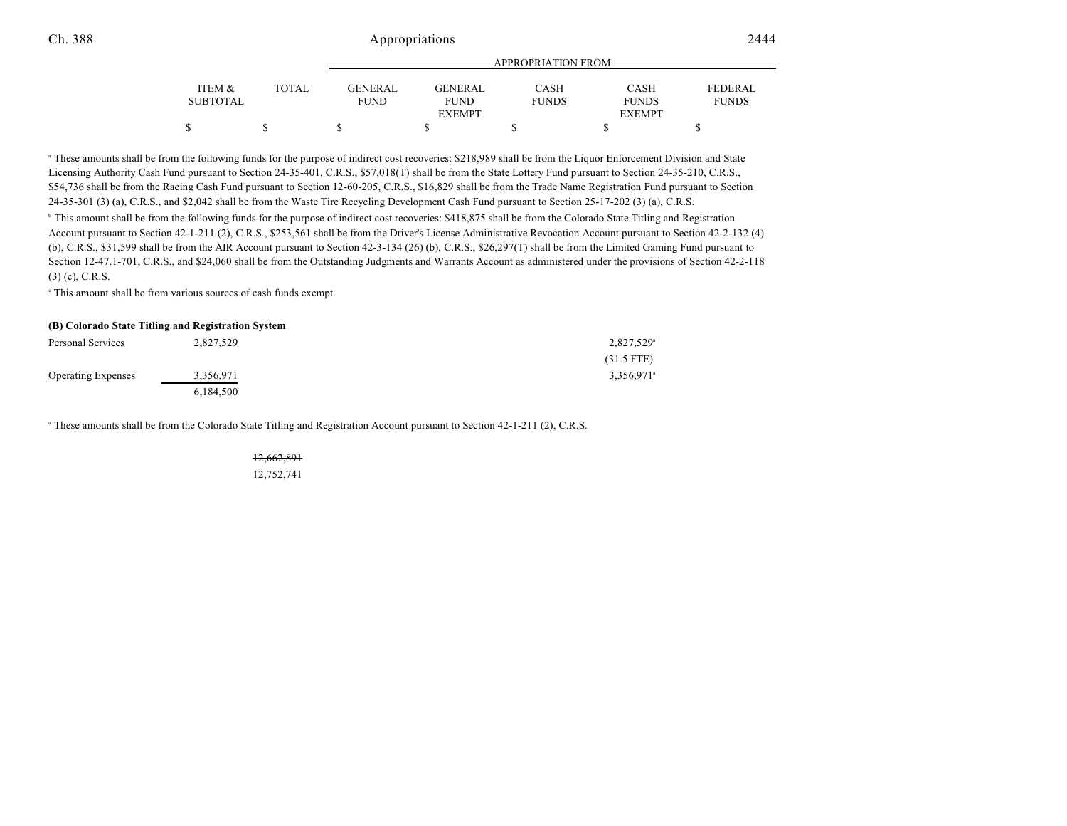#### Ch. 388 2444 Appropriations 2444

|                 |              |                | APPROPRIATION FROM |              |               |              |  |
|-----------------|--------------|----------------|--------------------|--------------|---------------|--------------|--|
| ITEM &          | <b>TOTAL</b> | <b>GENERAL</b> | <b>GENERAL</b>     | CASH         | CASH          | FEDERAL      |  |
| <b>SUBTOTAL</b> |              | <b>FUND</b>    | <b>FUND</b>        | <b>FUNDS</b> | <b>FUNDS</b>  | <b>FUNDS</b> |  |
|                 |              |                | <b>EXEMPT</b>      |              | <b>EXEMPT</b> |              |  |
| \$              |              |                |                    |              |               |              |  |

<sup>a</sup> These amounts shall be from the following funds for the purpose of indirect cost recoveries: \$218,989 shall be from the Liquor Enforcement Division and State Licensing Authority Cash Fund pursuant to Section 24-35-401, C.R.S., \$57,018(T) shall be from the State Lottery Fund pursuant to Section 24-35-210, C.R.S., \$54,736 shall be from the Racing Cash Fund pursuant to Section 12-60-205, C.R.S., \$16,829 shall be from the Trade Name Registration Fund pursuant to Section 24-35-301 (3) (a), C.R.S., and \$2,042 shall be from the Waste Tire Recycling Development Cash Fund pursuant to Section 25-17-202 (3) (a), C.R.S. <sup>b</sup> This amount shall be from the following funds for the purpose of indirect cost recoveries: \$418,875 shall be from the Colorado State Titling and Registration Account pursuant to Section 42-1-211 (2), C.R.S., \$253,561 shall be from the Driver's License Administrative Revocation Account pursuant to Section 42-2-132 (4) (b), C.R.S., \$31,599 shall be from the AIR Account pursuant to Section 42-3-134 (26) (b), C.R.S., \$26,297(T) shall be from the Limited Gaming Fund pursuant to Section 12-47.1-701, C.R.S., and \$24,060 shall be from the Outstanding Judgments and Warrants Account as administered under the provisions of Section 42-2-118 (3) (c), C.R.S.

 $\degree$  This amount shall be from various sources of cash funds exempt.

#### **(B) Colorado State Titling and Registration System**

| Personal Services         | 2,827,529 | 2,827,529 <sup>a</sup>   |
|---------------------------|-----------|--------------------------|
|                           |           | $(31.5$ FTE)             |
| <b>Operating Expenses</b> | 3,356,971 | $3,356,971$ <sup>a</sup> |
|                           | 6.184.500 |                          |

<sup>a</sup> These amounts shall be from the Colorado State Titling and Registration Account pursuant to Section 42-1-211 (2), C.R.S.

# 12,662,891

12,752,741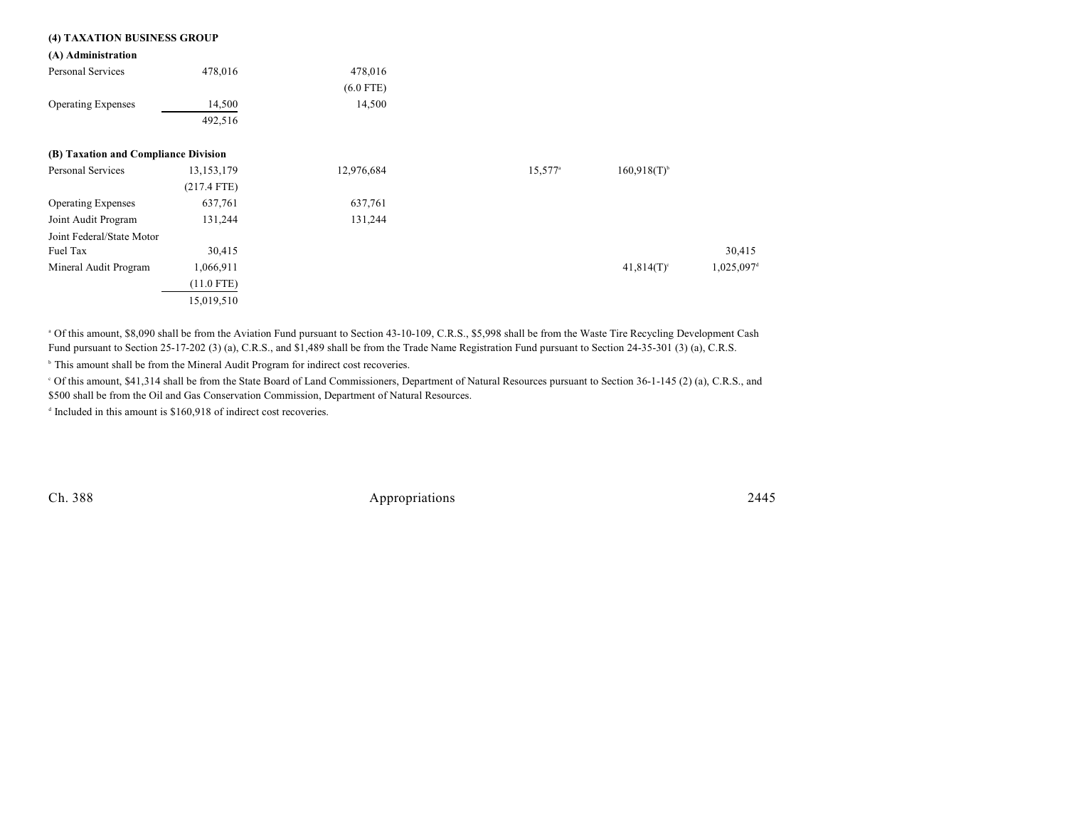| (4) TAXATION BUSINESS GROUP          |               |             |                       |                           |           |
|--------------------------------------|---------------|-------------|-----------------------|---------------------------|-----------|
| (A) Administration                   |               |             |                       |                           |           |
| Personal Services                    | 478,016       | 478,016     |                       |                           |           |
|                                      |               | $(6.0$ FTE) |                       |                           |           |
| <b>Operating Expenses</b>            | 14,500        | 14,500      |                       |                           |           |
|                                      | 492,516       |             |                       |                           |           |
| (B) Taxation and Compliance Division |               |             |                       |                           |           |
| Personal Services                    | 13, 153, 179  | 12,976,684  | $15,577$ <sup>a</sup> | $160,918(T)$ <sup>b</sup> |           |
|                                      | $(217.4$ FTE) |             |                       |                           |           |
| <b>Operating Expenses</b>            | 637,761       | 637,761     |                       |                           |           |
| Joint Audit Program                  | 131,244       | 131,244     |                       |                           |           |
| Joint Federal/State Motor            |               |             |                       |                           |           |
| Fuel Tax                             | 30,415        |             |                       |                           | 30,415    |
| Mineral Audit Program                | 1,066,911     |             |                       | $41,814(T)$ <sup>c</sup>  | 1,025,097 |
|                                      | $(11.0$ FTE)  |             |                       |                           |           |
|                                      | 15,019,510    |             |                       |                           |           |

<sup>a</sup> Of this amount, \$8,090 shall be from the Aviation Fund pursuant to Section 43-10-109, C.R.S., \$5,998 shall be from the Waste Tire Recycling Development Cash Fund pursuant to Section 25-17-202 (3) (a), C.R.S., and \$1,489 shall be from the Trade Name Registration Fund pursuant to Section 24-35-301 (3) (a), C.R.S.

<sup>b</sup> This amount shall be from the Mineral Audit Program for indirect cost recoveries.

<sup>o</sup> Of this amount, \$41,314 shall be from the State Board of Land Commissioners, Department of Natural Resources pursuant to Section 36-1-145 (2) (a), C.R.S., and

\$500 shall be from the Oil and Gas Conservation Commission, Department of Natural Resources.

 $\alpha$  Included in this amount is \$160,918 of indirect cost recoveries.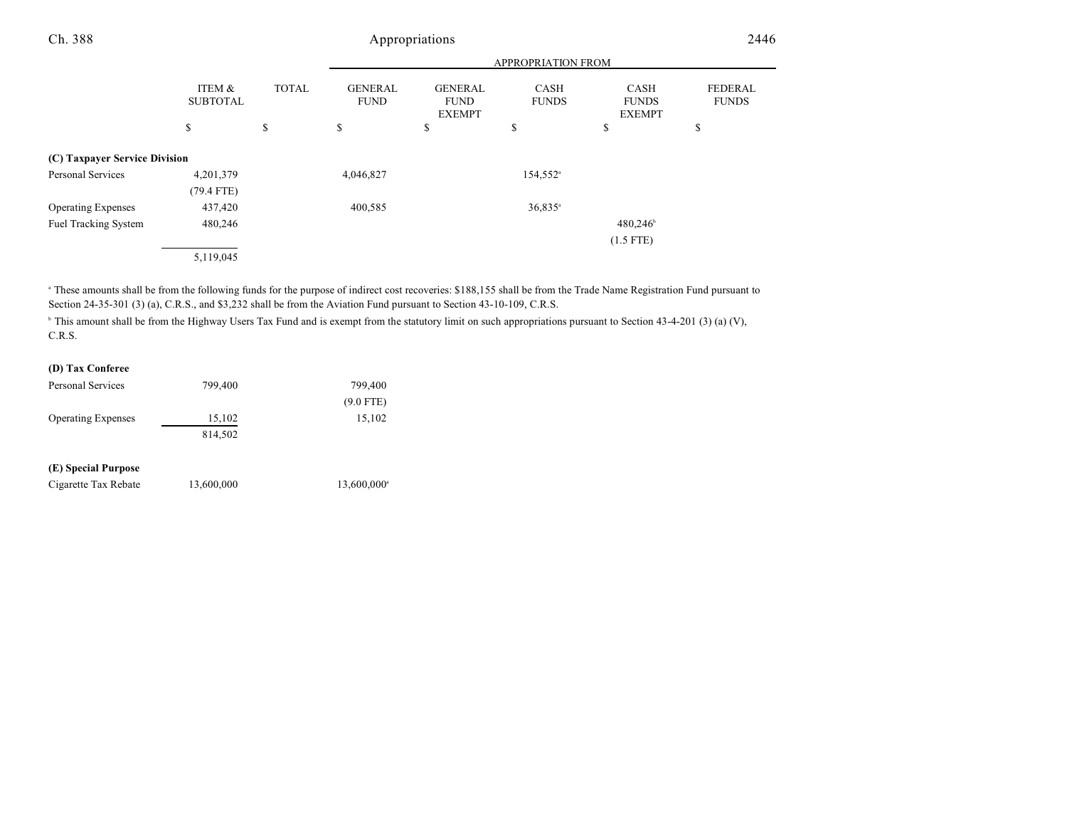|                               |                           |              |                               | APPROPRIATION FROM                             |                       |                                       |                                |
|-------------------------------|---------------------------|--------------|-------------------------------|------------------------------------------------|-----------------------|---------------------------------------|--------------------------------|
|                               | ITEM &<br><b>SUBTOTAL</b> | <b>TOTAL</b> | <b>GENERAL</b><br><b>FUND</b> | <b>GENERAL</b><br><b>FUND</b><br><b>EXEMPT</b> | CASH<br><b>FUNDS</b>  | CASH<br><b>FUNDS</b><br><b>EXEMPT</b> | <b>FEDERAL</b><br><b>FUNDS</b> |
|                               | \$                        | \$           | \$                            | \$                                             | \$                    | \$                                    | \$                             |
| (C) Taxpayer Service Division |                           |              |                               |                                                |                       |                                       |                                |
| Personal Services             | 4,201,379                 |              | 4,046,827                     |                                                | 154,552 <sup>a</sup>  |                                       |                                |
|                               | $(79.4$ FTE)              |              |                               |                                                |                       |                                       |                                |
| <b>Operating Expenses</b>     | 437,420                   |              | 400,585                       |                                                | $36,835$ <sup>a</sup> |                                       |                                |
| <b>Fuel Tracking System</b>   | 480,246                   |              |                               |                                                |                       | 480,246                               |                                |
|                               |                           |              |                               |                                                |                       | $(1.5$ FTE)                           |                                |
|                               | 5,119,045                 |              |                               |                                                |                       |                                       |                                |

These amounts shall be from the following funds for the purpose of indirect cost recoveries: \$188,155 shall be from the Trade Name Registration Fund pursuant to Section 24-35-301 (3) (a), C.R.S., and \$3,232 shall be from the Aviation Fund pursuant to Section 43-10-109, C.R.S.

<sup>b</sup> This amount shall be from the Highway Users Tax Fund and is exempt from the statutory limit on such appropriations pursuant to Section 43-4-201 (3) (a) (V), C.R.S.

### **(D) Tax Conferee**

| <b>Personal Services</b>  | 799,400    | 799,400     |
|---------------------------|------------|-------------|
|                           |            | $(9.0$ FTE) |
| <b>Operating Expenses</b> | 15,102     | 15,102      |
|                           | 814,502    |             |
| (E) Special Purpose       |            |             |
| Cigarette Tax Rebate      | 13,600,000 | 13,600,000  |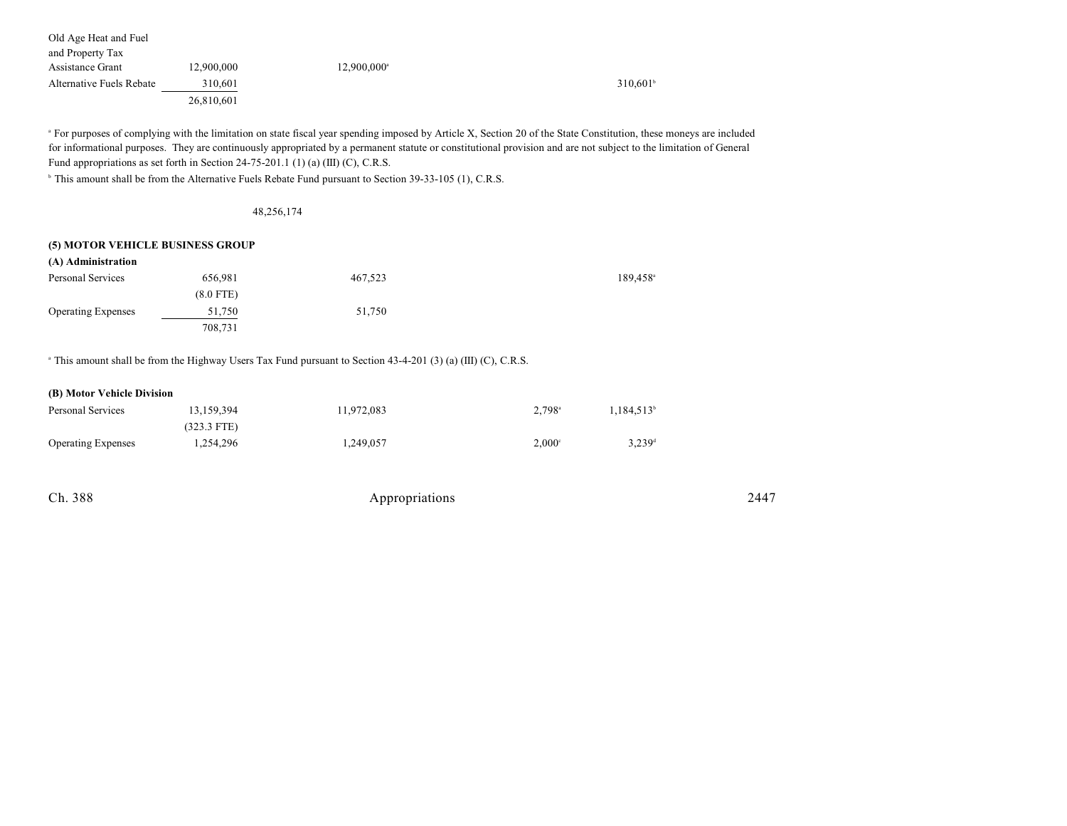| Old Age Heat and Fuel    |            |                         |             |
|--------------------------|------------|-------------------------|-------------|
| and Property Tax         |            |                         |             |
| Assistance Grant         | 12,900,000 | 12,900,000 <sup>a</sup> |             |
| Alternative Fuels Rebate | 310,601    |                         | $310.601^b$ |
|                          | 26.810.601 |                         |             |

<sup>a</sup> For purposes of complying with the limitation on state fiscal year spending imposed by Article X, Section 20 of the State Constitution, these moneys are included for informational purposes. They are continuously appropriated by a permanent statute or constitutional provision and are not subject to the limitation of General Fund appropriations as set forth in Section 24-75-201.1 (1) (a) (III) (C), C.R.S.

<sup>b</sup> This amount shall be from the Alternative Fuels Rebate Fund pursuant to Section 39-33-105 (1), C.R.S.

48,256,174

#### **(5) MOTOR VEHICLE BUSINESS GROUP**

| (A) Administration        |             |         |                        |
|---------------------------|-------------|---------|------------------------|
| Personal Services         | 656,981     | 467,523 | $189.458$ <sup>a</sup> |
|                           | $(8.0$ FTE) |         |                        |
| <b>Operating Expenses</b> | 51,750      | 51,750  |                        |
|                           | 708,731     |         |                        |

<sup>a</sup> This amount shall be from the Highway Users Tax Fund pursuant to Section 43-4-201 (3) (a) (III) (C), C.R.S.

#### **(B) Motor Vehicle Division**

| Personal Services         | 13.159.394    | 11.972.083 | $2.798$ <sup>a</sup> | 1.184.513 <sup>b</sup> |
|---------------------------|---------------|------------|----------------------|------------------------|
|                           | $(323.3$ FTE) |            |                      |                        |
| <b>Operating Expenses</b> | 1,254,296     | 1.249.057  | $2.000^{\circ}$      | $3,239$ <sup>d</sup>   |

| Ch. 388 | Appropriations | 2447 |
|---------|----------------|------|
|---------|----------------|------|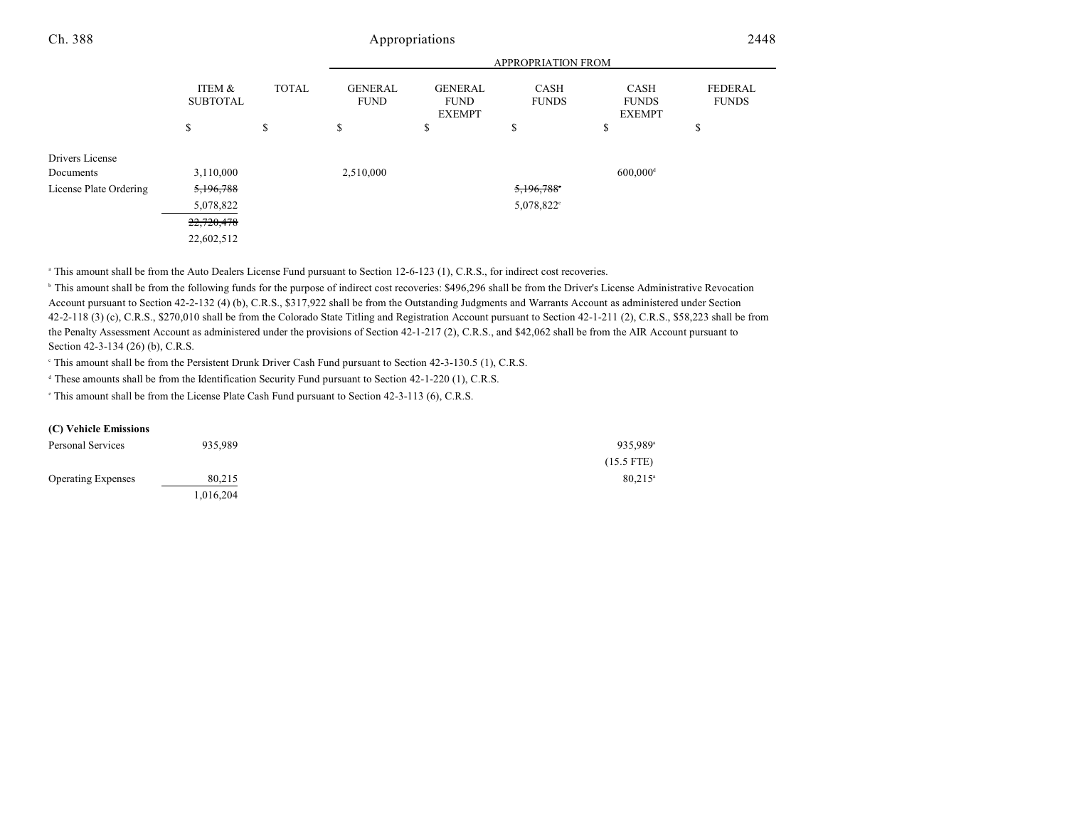|                        |                           |              |                               |                                                | <b>APPROPRIATION FROM</b>   |                                              |                                |
|------------------------|---------------------------|--------------|-------------------------------|------------------------------------------------|-----------------------------|----------------------------------------------|--------------------------------|
|                        | ITEM &<br><b>SUBTOTAL</b> | <b>TOTAL</b> | <b>GENERAL</b><br><b>FUND</b> | <b>GENERAL</b><br><b>FUND</b><br><b>EXEMPT</b> | <b>CASH</b><br><b>FUNDS</b> | <b>CASH</b><br><b>FUNDS</b><br><b>EXEMPT</b> | <b>FEDERAL</b><br><b>FUNDS</b> |
|                        | \$                        | \$           | \$                            | \$                                             | \$                          | \$                                           | \$                             |
| Drivers License        |                           |              |                               |                                                |                             |                                              |                                |
| Documents              | 3,110,000                 |              | 2,510,000                     |                                                |                             | $600,000$ <sup>d</sup>                       |                                |
| License Plate Ordering | 5,196,788                 |              |                               |                                                | 5,196,788°                  |                                              |                                |
|                        | 5,078,822                 |              |                               |                                                | 5,078,822°                  |                                              |                                |
|                        | 22,720,478                |              |                               |                                                |                             |                                              |                                |
|                        | 22,602,512                |              |                               |                                                |                             |                                              |                                |

<sup>a</sup> This amount shall be from the Auto Dealers License Fund pursuant to Section 12-6-123 (1), C.R.S., for indirect cost recoveries.

<sup>b</sup> This amount shall be from the following funds for the purpose of indirect cost recoveries: \$496,296 shall be from the Driver's License Administrative Revocation Account pursuant to Section 42-2-132 (4) (b), C.R.S., \$317,922 shall be from the Outstanding Judgments and Warrants Account as administered under Section 42-2-118 (3) (c), C.R.S., \$270,010 shall be from the Colorado State Titling and Registration Account pursuant to Section 42-1-211 (2), C.R.S., \$58,223 shall be from the Penalty Assessment Account as administered under the provisions of Section 42-1-217 (2), C.R.S., and \$42,062 shall be from the AIR Account pursuant to Section 42-3-134 (26) (b), C.R.S.

<sup>e</sup> This amount shall be from the Persistent Drunk Driver Cash Fund pursuant to Section 42-3-130.5 (1), C.R.S.

<sup>d</sup> These amounts shall be from the Identification Security Fund pursuant to Section 42-1-220 (1), C.R.S.

This amount shall be from the License Plate Cash Fund pursuant to Section 42-3-113 (6), C.R.S.

#### **(C) Vehicle Emissions**

| Personal Services         | 935.989   | 935,989 <sup>a</sup>  |
|---------------------------|-----------|-----------------------|
|                           |           | $(15.5$ FTE)          |
| <b>Operating Expenses</b> | 80,215    | $80,215$ <sup>a</sup> |
|                           | 1.016.204 |                       |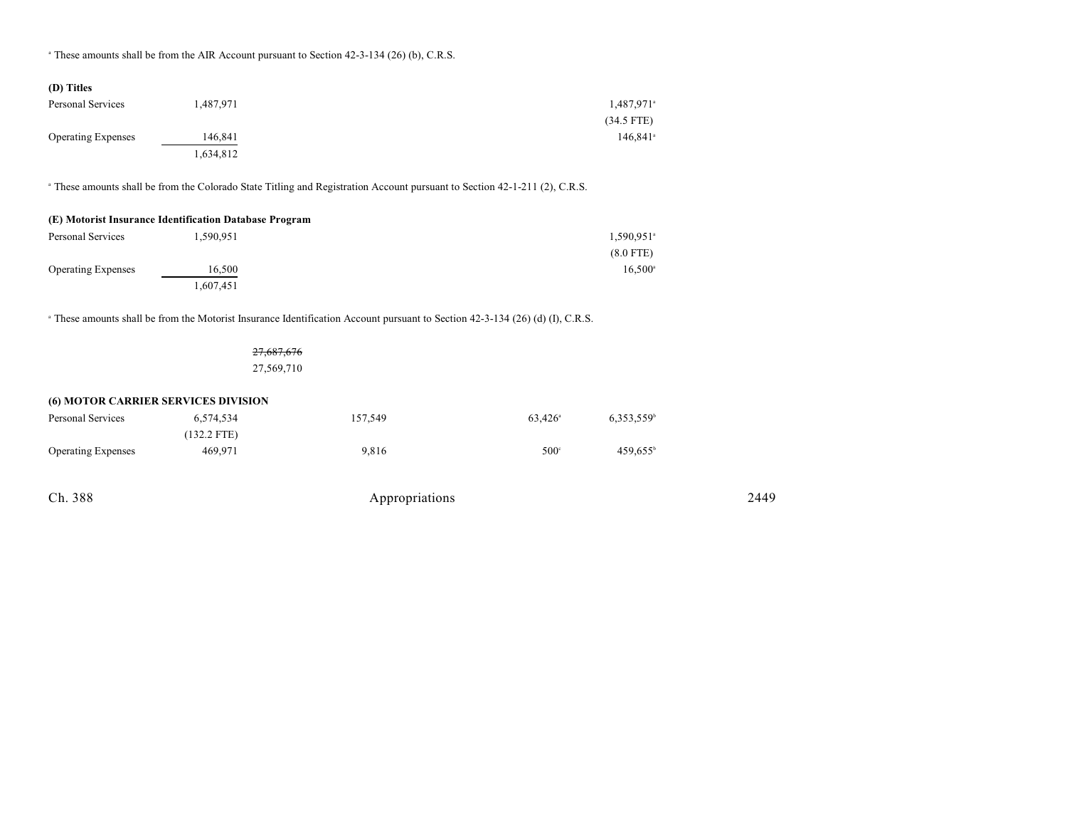<sup>a</sup> These amounts shall be from the AIR Account pursuant to Section 42-3-134 (26) (b), C.R.S.

| (D) Titles                |           |                        |
|---------------------------|-----------|------------------------|
| Personal Services         | 1,487,971 | 1,487,971 <sup>a</sup> |
|                           |           | $(34.5$ FTE)           |
| <b>Operating Expenses</b> | 146,841   | $146.841$ <sup>a</sup> |
|                           | 1,634,812 |                        |

<sup>a</sup> These amounts shall be from the Colorado State Titling and Registration Account pursuant to Section 42-1-211 (2), C.R.S.

| (E) Motorist Insurance Identification Database Program |                  |  |  |  |
|--------------------------------------------------------|------------------|--|--|--|
| 1.590.951<br>Personal Services                         |                  |  |  |  |
|                                                        | $(8.0$ FTE)      |  |  |  |
| 16.500                                                 | $16.500^{\circ}$ |  |  |  |
|                                                        | 1.607.451        |  |  |  |

<sup>a</sup> These amounts shall be from the Motorist Insurance Identification Account pursuant to Section 42-3-134 (26) (d) (I), C.R.S.

27,687,676 27,569,710

| <b>(6) MOTOR CARRIER SERVICES DIVISION</b> |               |         |                  |                     |
|--------------------------------------------|---------------|---------|------------------|---------------------|
| Personal Services                          | 6.574.534     | 157,549 | $63.426^{\circ}$ | $6.353.559^{\circ}$ |
|                                            | $(132.2$ FTE) |         |                  |                     |
| <b>Operating Expenses</b>                  | 469,971       | 9.816   | $500^\circ$      | $459.655^{\circ}$   |

| Ch. 388 | Appropriations | 2440<br>- - |
|---------|----------------|-------------|
|---------|----------------|-------------|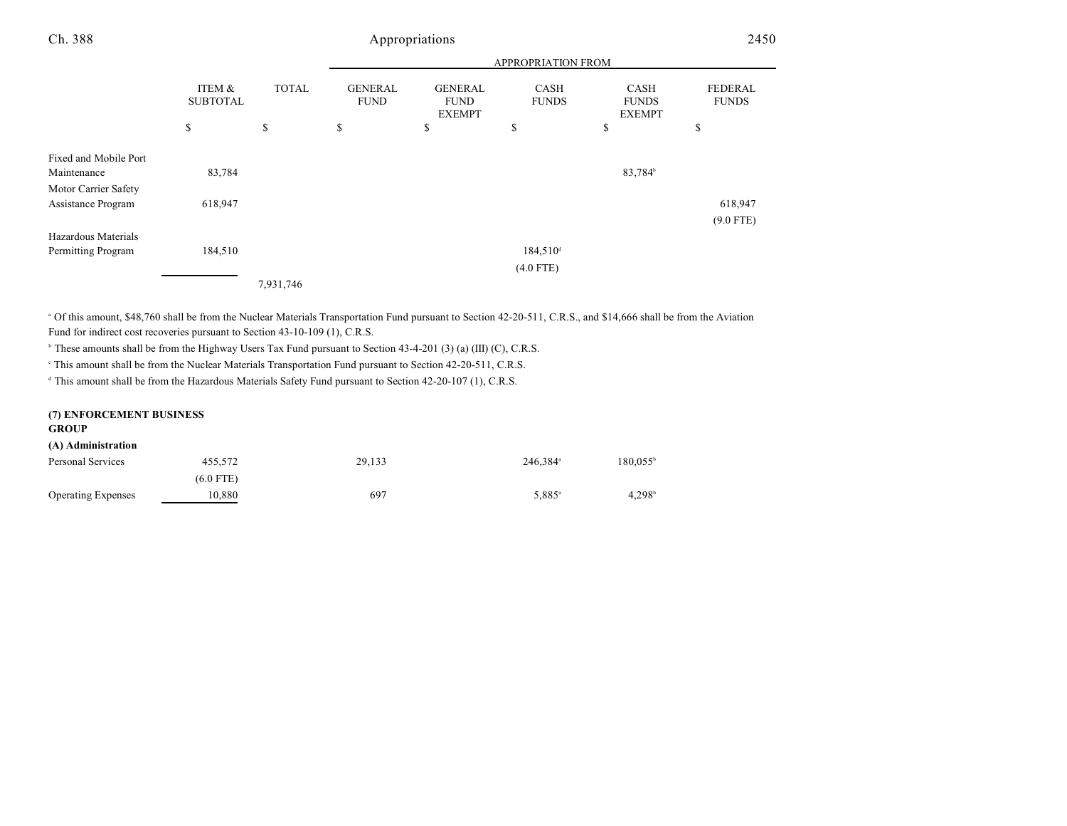| Ch. 388                                    |                           |              |                               | Appropriations                                 |                             |                                       | 2450                           |
|--------------------------------------------|---------------------------|--------------|-------------------------------|------------------------------------------------|-----------------------------|---------------------------------------|--------------------------------|
|                                            |                           |              |                               |                                                | APPROPRIATION FROM          |                                       |                                |
|                                            | ITEM &<br><b>SUBTOTAL</b> | <b>TOTAL</b> | <b>GENERAL</b><br><b>FUND</b> | <b>GENERAL</b><br><b>FUND</b><br><b>EXEMPT</b> | <b>CASH</b><br><b>FUNDS</b> | CASH<br><b>FUNDS</b><br><b>EXEMPT</b> | <b>FEDERAL</b><br><b>FUNDS</b> |
|                                            | \$                        | \$           | \$                            | \$                                             | \$                          | \$                                    | \$                             |
| Fixed and Mobile Port<br>Maintenance       | 83,784                    |              |                               |                                                |                             | 83,784 <sup>b</sup>                   |                                |
| Motor Carrier Safety<br>Assistance Program | 618,947                   |              |                               |                                                |                             |                                       | 618,947                        |
| Hazardous Materials                        |                           |              |                               |                                                |                             |                                       | $(9.0$ FTE)                    |
| Permitting Program                         | 184,510                   |              |                               |                                                | $184,510^4$                 |                                       |                                |
|                                            |                           |              |                               |                                                | $(4.0$ FTE)                 |                                       |                                |

7,931,746

<sup>a</sup> Of this amount, \$48,760 shall be from the Nuclear Materials Transportation Fund pursuant to Section 42-20-511, C.R.S., and \$14,666 shall be from the Aviation Fund for indirect cost recoveries pursuant to Section 43-10-109 (1), C.R.S.

 $\beta$  These amounts shall be from the Highway Users Tax Fund pursuant to Section 43-4-201 (3) (a) (III) (C), C.R.S.

<sup>e</sup> This amount shall be from the Nuclear Materials Transportation Fund pursuant to Section 42-20-511, C.R.S.

<sup>d</sup> This amount shall be from the Hazardous Materials Safety Fund pursuant to Section 42-20-107 (1), C.R.S.

| (7) ENFORCEMENT BUSINESS<br><b>GROUP</b> |             |        |                      |                    |
|------------------------------------------|-------------|--------|----------------------|--------------------|
| (A) Administration                       |             |        |                      |                    |
| Personal Services                        | 455.572     | 29.133 | 246.384 <sup>ª</sup> | $180.055^{\circ}$  |
|                                          | $(6.0$ FTE) |        |                      |                    |
| <b>Operating Expenses</b>                | 10,880      | 697    | 5,885 <sup>a</sup>   | 4.298 <sup>b</sup> |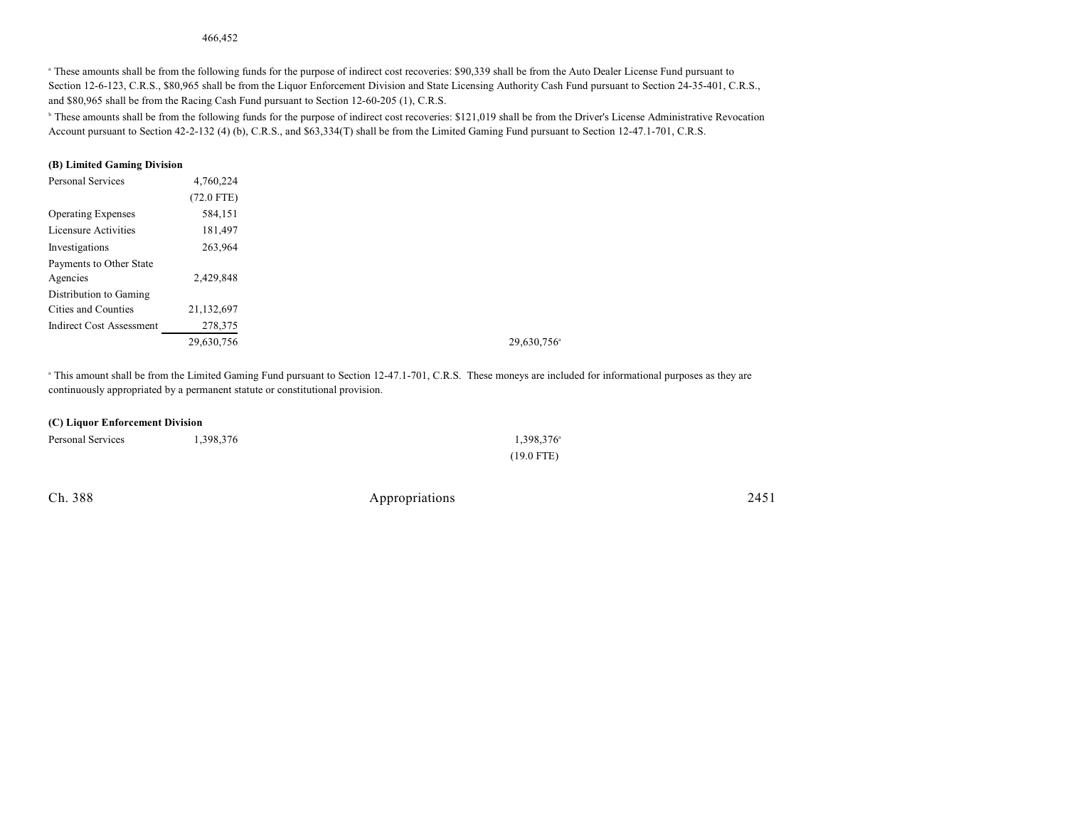#### 466,452

<sup>a</sup> These amounts shall be from the following funds for the purpose of indirect cost recoveries: \$90,339 shall be from the Auto Dealer License Fund pursuant to Section 12-6-123, C.R.S., \$80,965 shall be from the Liquor Enforcement Division and State Licensing Authority Cash Fund pursuant to Section 24-35-401, C.R.S., and \$80,965 shall be from the Racing Cash Fund pursuant to Section 12-60-205 (1), C.R.S.

<sup>b</sup> These amounts shall be from the following funds for the purpose of indirect cost recoveries: \$121,019 shall be from the Driver's License Administrative Revocation Account pursuant to Section 42-2-132 (4) (b), C.R.S., and \$63,334(T) shall be from the Limited Gaming Fund pursuant to Section 12-47.1-701, C.R.S.

#### **(B) Limited Gaming Division**

| <b>Personal Services</b>        | 4,760,224    |
|---------------------------------|--------------|
|                                 | $(72.0$ FTE) |
| <b>Operating Expenses</b>       | 584,151      |
| Licensure Activities            | 181,497      |
| Investigations                  | 263,964      |
| Payments to Other State         |              |
| Agencies                        | 2,429,848    |
| Distribution to Gaming          |              |
| Cities and Counties             | 21,132,697   |
| <b>Indirect Cost Assessment</b> | 278,375      |
|                                 | 29,630,756   |

<sup>a</sup> This amount shall be from the Limited Gaming Fund pursuant to Section 12-47.1-701, C.R.S. These moneys are included for informational purposes as they are continuously appropriated by a permanent statute or constitutional provision.

#### **(C) Liquor Enforcement Division**

| Personal Services | 1,398,376 | $1,398,376^{\circ}$ |
|-------------------|-----------|---------------------|
|                   |           | $(19.0$ FTE)        |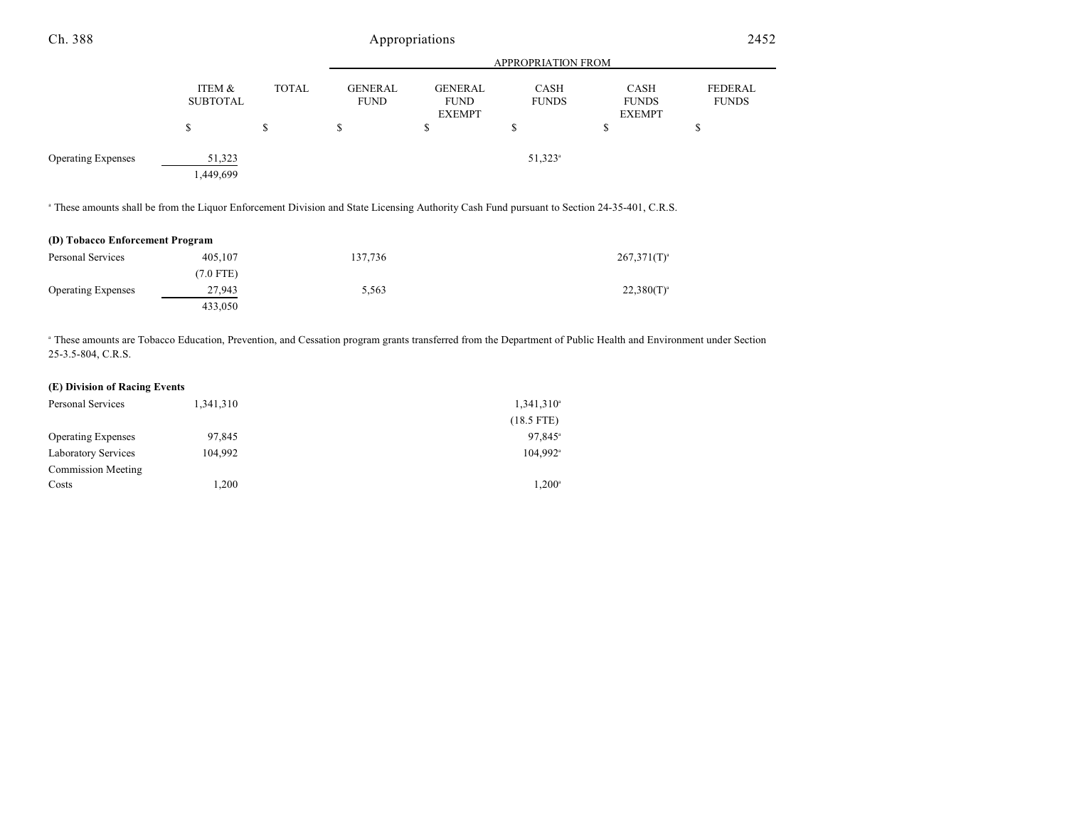| Ch. 388                                                                                                                                                |                           |              | Appropriations                |                                                |                       |                                       | 2452                           |  |
|--------------------------------------------------------------------------------------------------------------------------------------------------------|---------------------------|--------------|-------------------------------|------------------------------------------------|-----------------------|---------------------------------------|--------------------------------|--|
|                                                                                                                                                        |                           |              | <b>APPROPRIATION FROM</b>     |                                                |                       |                                       |                                |  |
|                                                                                                                                                        | ITEM &<br><b>SUBTOTAL</b> | <b>TOTAL</b> | <b>GENERAL</b><br><b>FUND</b> | <b>GENERAL</b><br><b>FUND</b><br><b>EXEMPT</b> | CASH<br><b>FUNDS</b>  | CASH<br><b>FUNDS</b><br><b>EXEMPT</b> | <b>FEDERAL</b><br><b>FUNDS</b> |  |
|                                                                                                                                                        | \$                        | \$           | \$                            | \$                                             | \$                    | \$                                    | \$                             |  |
| <b>Operating Expenses</b>                                                                                                                              | 51,323<br>1,449,699       |              |                               |                                                | $51,323$ <sup>a</sup> |                                       |                                |  |
| <sup>a</sup> These amounts shall be from the Liquor Enforcement Division and State Licensing Authority Cash Fund pursuant to Section 24-35-401, C.R.S. |                           |              |                               |                                                |                       |                                       |                                |  |
| (D) Tobacco Enforcement Program                                                                                                                        |                           |              |                               |                                                |                       |                                       |                                |  |
| Personal Services                                                                                                                                      | 405,107                   |              | 137,736                       |                                                |                       | $267,371(T)^{a}$                      |                                |  |
|                                                                                                                                                        | $(7.0$ FTE)               |              |                               |                                                |                       |                                       |                                |  |
| <b>Operating Expenses</b>                                                                                                                              | 27,943                    |              | 5,563                         |                                                |                       | $22,380(T)^{a}$                       |                                |  |

<sup>a</sup> These amounts are Tobacco Education, Prevention, and Cessation program grants transferred from the Department of Public Health and Environment under Section 25-3.5-804, C.R.S.

#### **(E) Division of Racing Events**

| Personal Services          | 1,341,310 | $1,341,310^a$          |
|----------------------------|-----------|------------------------|
|                            |           | $(18.5$ FTE)           |
| <b>Operating Expenses</b>  | 97.845    | $97.845^{\circ}$       |
| <b>Laboratory Services</b> | 104.992   | $104,992$ <sup>a</sup> |
| Commission Meeting         |           |                        |
| Costs                      | 1.200     | $1.200^{\circ}$        |

433,050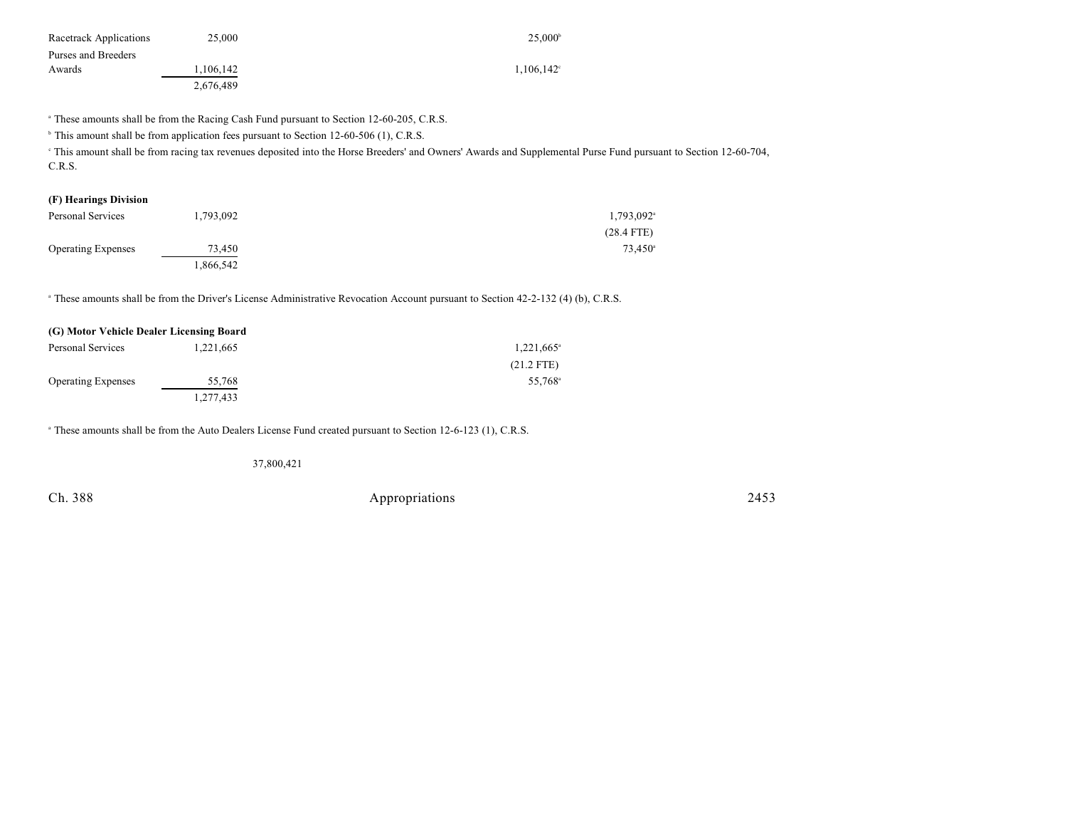| Racetrack Applications | 25,000    | $25.000^{\circ}$    |
|------------------------|-----------|---------------------|
| Purses and Breeders    |           |                     |
| Awards                 | 1,106,142 | $1,106,142^{\circ}$ |
|                        | 2.676.489 |                     |

<sup>a</sup> These amounts shall be from the Racing Cash Fund pursuant to Section 12-60-205, C.R.S.

<sup>b</sup> This amount shall be from application fees pursuant to Section 12-60-506 (1), C.R.S.

 This amount shall be from racing tax revenues deposited into the Horse Breeders' and Owners' Awards and Supplemental Purse Fund pursuant to Section 12-60-704, <sup>c</sup> C.R.S.

## **(F) Hearings Division** Personal Services 1,793,092 1,793,092 1,793,092 1,793,092 1,793,092 1,793,092 1,793,092 1,793,092 1,793,092 1,793,092 1,793,092 1,793,092 1,793,092 1,793,092 1,793,092 1,793,092 1,793,092 1,793,092 1,793,092 1,793,092 1,79

|                           |           | $(28.4$ FTE) |
|---------------------------|-----------|--------------|
| <b>Operating Expenses</b> | 73,450    | 73,450       |
|                           | 1,866,542 |              |

<sup>a</sup> These amounts shall be from the Driver's License Administrative Revocation Account pursuant to Section 42-2-132 (4) (b), C.R.S.

| (G) Motor Vehicle Dealer Licensing Board |           |                     |
|------------------------------------------|-----------|---------------------|
| Personal Services                        | 1,221,665 | $1,221,665^{\circ}$ |
|                                          |           | $(21.2$ FTE)        |
| <b>Operating Expenses</b>                | 55,768    | 55.768 <sup>a</sup> |
|                                          | 1,277,433 |                     |

<sup>a</sup> These amounts shall be from the Auto Dealers License Fund created pursuant to Section 12-6-123 (1), C.R.S.

37,800,421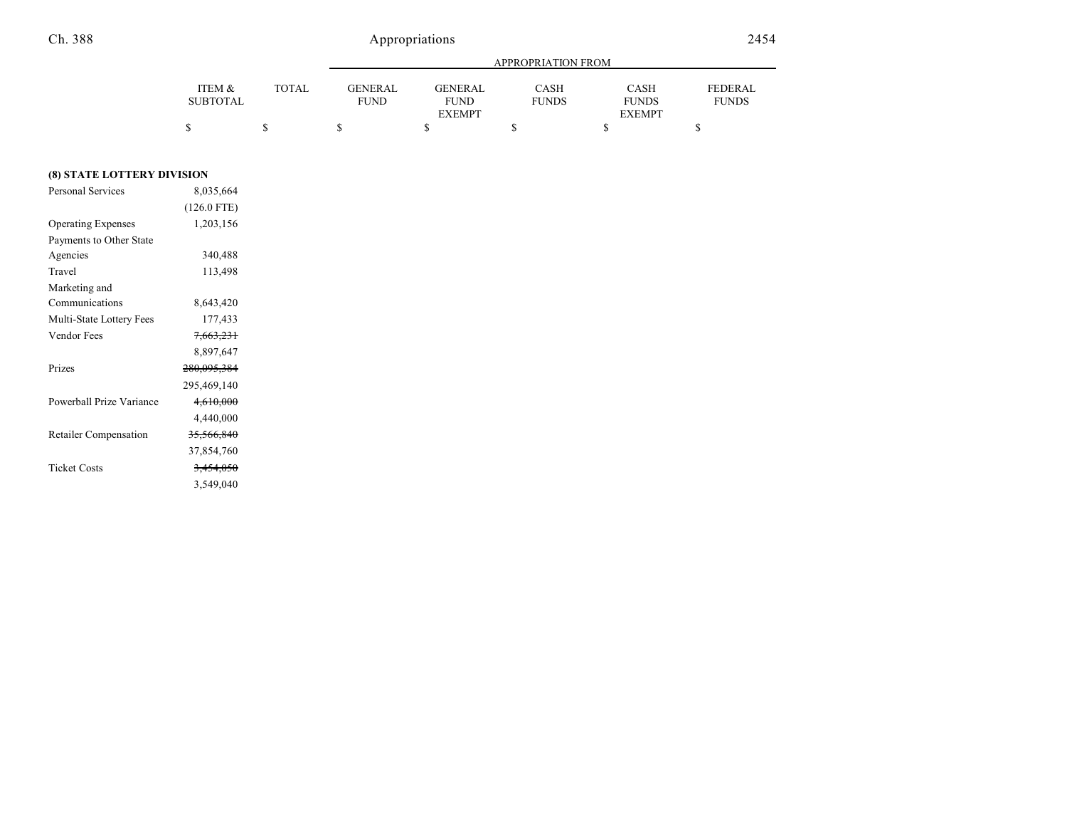|                 |       |             | APPROPRIATION FROM |              |               |                |  |
|-----------------|-------|-------------|--------------------|--------------|---------------|----------------|--|
| ITEM &          | TOTAL | GENERAL     | <b>GENERAL</b>     | CASH         | <b>CASH</b>   | <b>FEDERAL</b> |  |
| <b>SUBTOTAL</b> |       | <b>FUND</b> | <b>FUND</b>        | <b>FUNDS</b> | <b>FUNDS</b>  | <b>FUNDS</b>   |  |
|                 |       |             | <b>EXEMPT</b>      |              | <b>EXEMPT</b> |                |  |
|                 |       |             |                    |              |               |                |  |

### **(8) STATE LOTTERY DIVISION**

| <b>Personal Services</b>     | 8,035,664            |
|------------------------------|----------------------|
|                              | $(126.0$ FTE)        |
| <b>Operating Expenses</b>    | 1,203,156            |
| Payments to Other State      |                      |
| Agencies                     | 340,488              |
| Travel                       | 113,498              |
| Marketing and                |                      |
| Communications               | 8,643,420            |
| Multi-State Lottery Fees     | 177,433              |
| Vendor Fees                  | <del>7,663,231</del> |
|                              | 8,897,647            |
| Prizes                       | 280,095,384          |
|                              | 295,469,140          |
| Powerball Prize Variance     | 4,610,000            |
|                              | 4,440,000            |
| <b>Retailer Compensation</b> | 35,566,840           |
|                              | 37,854,760           |
| <b>Ticket Costs</b>          | <del>3,454,050</del> |
|                              | 3,549,040            |
|                              |                      |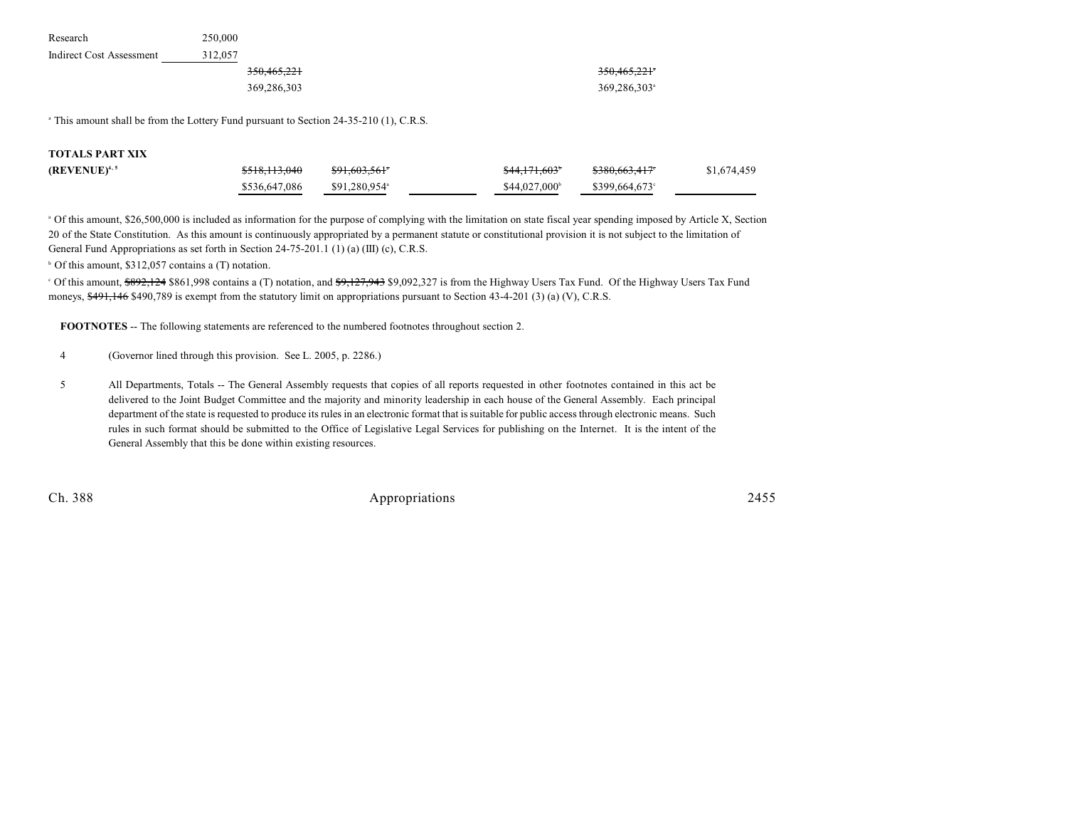| Research                 | 250,000 |             |             |
|--------------------------|---------|-------------|-------------|
| Indirect Cost Assessment | 312.057 |             |             |
|                          |         | 350.465.221 | 350,465,221 |
|                          |         | 369,286,303 | 369.286.303 |

<sup>a</sup> This amount shall be from the Lottery Fund pursuant to Section 24-35-210 (1), C.R.S.

| <b>TOTALS PART XIX</b> |                          |                           |                         |                            |             |
|------------------------|--------------------------|---------------------------|-------------------------|----------------------------|-------------|
| $(REVENUE)^{4,5}$      | <del>\$518,113,040</del> | <del>\$91,603,561</del> * | <del>\$44,171,603</del> | <del>\$380,663,417</del> ° | \$1,674,459 |
|                        | \$536,647,086            | \$91.280.954 <sup>a</sup> | $$44.027.000^{\circ}$   | \$399.664.673              |             |

<sup>a</sup> Of this amount, \$26,500,000 is included as information for the purpose of complying with the limitation on state fiscal year spending imposed by Article X, Section 20 of the State Constitution. As this amount is continuously appropriated by a permanent statute or constitutional provision it is not subject to the limitation of General Fund Appropriations as set forth in Section 24-75-201.1 (1) (a) (III) (c), C.R.S.

 $\circ$  Of this amount, \$312,057 contains a (T) notation.

<sup>o</sup> Of this amount, \$892,124 \$861,998 contains a (T) notation, and \$9,127,943 \$9,092,327 is from the Highway Users Tax Fund. Of the Highway Users Tax Fund moneys, \$491,146 \$490,789 is exempt from the statutory limit on appropriations pursuant to Section 43-4-201 (3) (a) (V), C.R.S.

**FOOTNOTES** -- The following statements are referenced to the numbered footnotes throughout section 2.

4 (Governor lined through this provision. See L. 2005, p. 2286.)

5 All Departments, Totals -- The General Assembly requests that copies of all reports requested in other footnotes contained in this act be delivered to the Joint Budget Committee and the majority and minority leadership in each house of the General Assembly. Each principal department of the state is requested to produce its rules in an electronic format that is suitable for public access through electronic means. Such rules in such format should be submitted to the Office of Legislative Legal Services for publishing on the Internet. It is the intent of the General Assembly that this be done within existing resources.

Ch. 388 Appropriations 2455